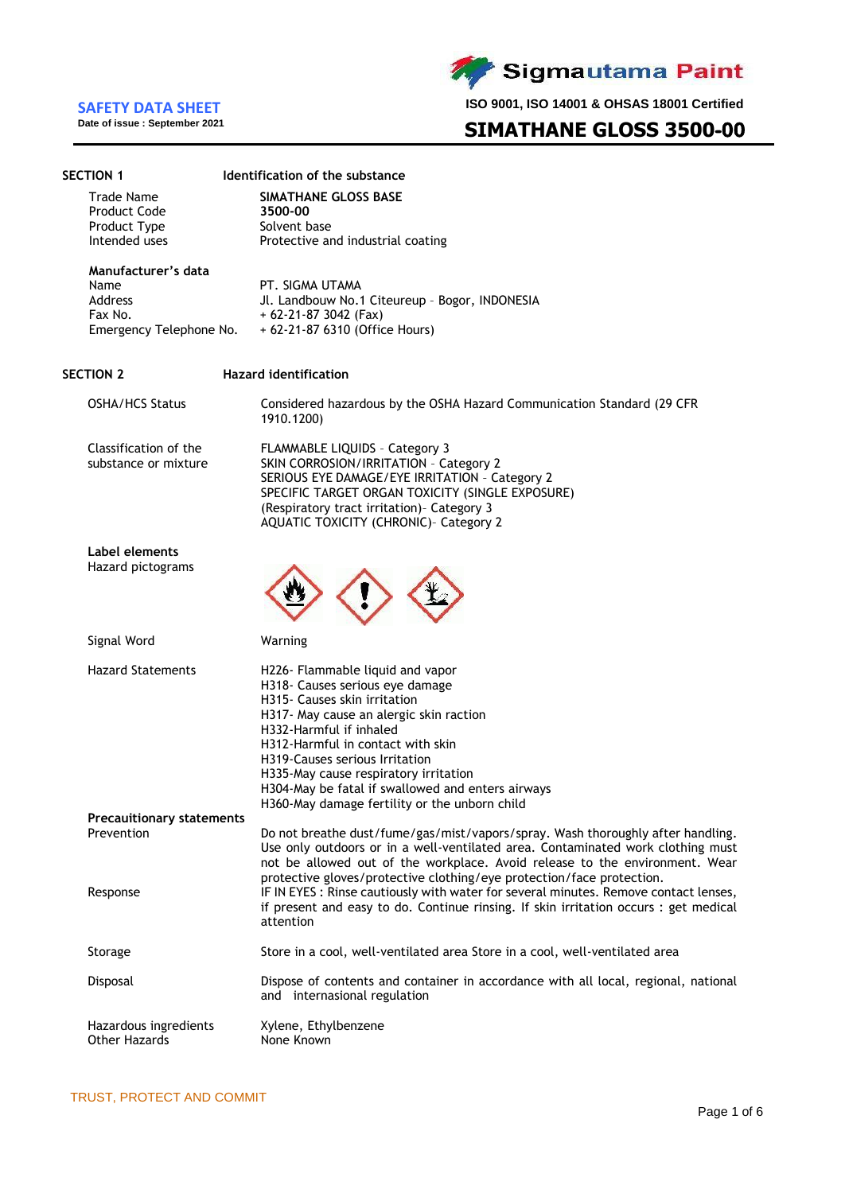**Date of issue : September 2021**

**SECTION 1 Identification of the substance**

Sigmautama Paint

**ISO 9001, ISO 14001 & OHSAS 18001 Certified**

# **SIMATHANE GLOSS 3500-00**

| <b>Trade Name</b><br><b>Product Code</b><br>Product Type<br>Intended uses    | <b>SIMATHANE GLOSS BASE</b><br>3500-00<br>Solvent base<br>Protective and industrial coating                                                                                                                                                                                                                                                                                                     |
|------------------------------------------------------------------------------|-------------------------------------------------------------------------------------------------------------------------------------------------------------------------------------------------------------------------------------------------------------------------------------------------------------------------------------------------------------------------------------------------|
| Manufacturer's data<br>Name<br>Address<br>Fax No.<br>Emergency Telephone No. | PT. SIGMA UTAMA<br>Jl. Landbouw No.1 Citeureup - Bogor, INDONESIA<br>$+62-21-873042$ (Fax)<br>+ 62-21-87 6310 (Office Hours)                                                                                                                                                                                                                                                                    |
| <b>SECTION 2</b>                                                             | <b>Hazard identification</b>                                                                                                                                                                                                                                                                                                                                                                    |
| <b>OSHA/HCS Status</b>                                                       | Considered hazardous by the OSHA Hazard Communication Standard (29 CFR<br>1910.1200)                                                                                                                                                                                                                                                                                                            |
| Classification of the<br>substance or mixture                                | FLAMMABLE LIQUIDS - Category 3<br>SKIN CORROSION/IRRITATION - Category 2<br>SERIOUS EYE DAMAGE/EYE IRRITATION - Category 2<br>SPECIFIC TARGET ORGAN TOXICITY (SINGLE EXPOSURE)<br>(Respiratory tract irritation) - Category 3<br>AQUATIC TOXICITY (CHRONIC)- Category 2                                                                                                                         |
| Label elements<br>Hazard pictograms                                          |                                                                                                                                                                                                                                                                                                                                                                                                 |
| Signal Word                                                                  | Warning                                                                                                                                                                                                                                                                                                                                                                                         |
| <b>Hazard Statements</b>                                                     | H226- Flammable liquid and vapor<br>H318- Causes serious eye damage<br>H315- Causes skin irritation<br>H317- May cause an alergic skin raction<br>H332-Harmful if inhaled<br>H312-Harmful in contact with skin<br>H319-Causes serious Irritation<br>H335-May cause respiratory irritation<br>H304-May be fatal if swallowed and enters airways<br>H360-May damage fertility or the unborn child |
| <b>Precauitionary statements</b><br>Prevention                               | Do not breathe dust/fume/gas/mist/vapors/spray. Wash thoroughly after handling.<br>Use only outdoors or in a well-ventilated area. Contaminated work clothing must<br>not be allowed out of the workplace. Avoid release to the environment. Wear<br>protective gloves/protective clothing/eye protection/face protection.                                                                      |
| Response                                                                     | IF IN EYES : Rinse cautiously with water for several minutes. Remove contact lenses,<br>if present and easy to do. Continue rinsing. If skin irritation occurs : get medical<br>attention                                                                                                                                                                                                       |
| Storage                                                                      | Store in a cool, well-ventilated area Store in a cool, well-ventilated area                                                                                                                                                                                                                                                                                                                     |
| Disposal                                                                     | Dispose of contents and container in accordance with all local, regional, national<br>and internasional regulation                                                                                                                                                                                                                                                                              |
| Hazardous ingredients<br><b>Other Hazards</b>                                | Xylene, Ethylbenzene<br>None Known                                                                                                                                                                                                                                                                                                                                                              |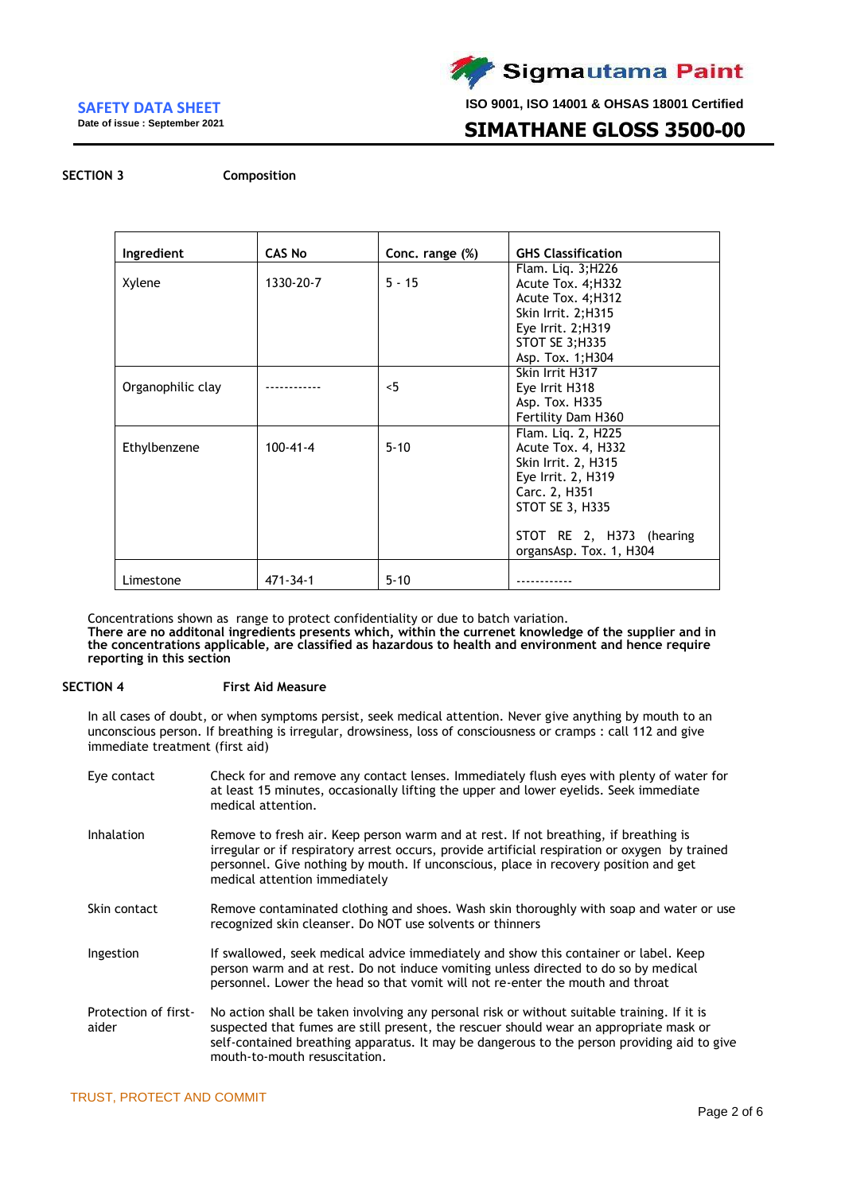**Date of issue : September 2021**



**ISO 9001, ISO 14001 & OHSAS 18001 Certified**

# **SIMATHANE GLOSS 3500-00**

**SECTION 3 Composition**

| Ingredient        | <b>CAS No</b>  | Conc. range (%) | <b>GHS Classification</b> |
|-------------------|----------------|-----------------|---------------------------|
|                   |                |                 | Flam. Liq. 3; H226        |
| Xylene            | 1330-20-7      | $5 - 15$        | Acute Tox. 4; H332        |
|                   |                |                 | Acute Tox. 4; H312        |
|                   |                |                 | Skin Irrit. 2;H315        |
|                   |                |                 | Eye Irrit. 2;H319         |
|                   |                |                 | STOT SE 3;H335            |
|                   |                |                 | Asp. Tox. 1; H304         |
|                   |                |                 | Skin Irrit H317           |
| Organophilic clay |                | 5               | Eye Irrit H318            |
|                   |                |                 | Asp. Tox. H335            |
|                   |                |                 | Fertility Dam H360        |
|                   |                |                 | Flam. Lig. 2, H225        |
| Ethylbenzene      | $100 - 41 - 4$ | $5 - 10$        | Acute Tox. 4, H332        |
|                   |                |                 | Skin Irrit. 2, H315       |
|                   |                |                 | Eye Irrit. 2, H319        |
|                   |                |                 | Carc. 2, H351             |
|                   |                |                 | STOT SE 3, H335           |
|                   |                |                 |                           |
|                   |                |                 | STOT RE 2, H373 (hearing  |
|                   |                |                 | organsAsp. Tox. 1, H304   |
| Limestone         | $471 - 34 - 1$ | $5 - 10$        |                           |

Concentrations shown as range to protect confidentiality or due to batch variation.

**There are no additonal ingredients presents which, within the currenet knowledge of the supplier and in the concentrations applicable, are classified as hazardous to health and environment and hence require reporting in this section**

#### **SECTION 4 First Aid Measure**

In all cases of doubt, or when symptoms persist, seek medical attention. Never give anything by mouth to an unconscious person. If breathing is irregular, drowsiness, loss of consciousness or cramps : call 112 and give immediate treatment (first aid)

| Eye contact                   | Check for and remove any contact lenses. Immediately flush eyes with plenty of water for<br>at least 15 minutes, occasionally lifting the upper and lower eyelids. Seek immediate<br>medical attention.                                                                                                               |
|-------------------------------|-----------------------------------------------------------------------------------------------------------------------------------------------------------------------------------------------------------------------------------------------------------------------------------------------------------------------|
| Inhalation                    | Remove to fresh air. Keep person warm and at rest. If not breathing, if breathing is<br>irregular or if respiratory arrest occurs, provide artificial respiration or oxygen by trained<br>personnel. Give nothing by mouth. If unconscious, place in recovery position and get<br>medical attention immediately       |
| Skin contact                  | Remove contaminated clothing and shoes. Wash skin thoroughly with soap and water or use<br>recognized skin cleanser. Do NOT use solvents or thinners                                                                                                                                                                  |
| Ingestion                     | If swallowed, seek medical advice immediately and show this container or label. Keep<br>person warm and at rest. Do not induce vomiting unless directed to do so by medical<br>personnel. Lower the head so that vomit will not re-enter the mouth and throat                                                         |
| Protection of first-<br>aider | No action shall be taken involving any personal risk or without suitable training. If it is<br>suspected that fumes are still present, the rescuer should wear an appropriate mask or<br>self-contained breathing apparatus. It may be dangerous to the person providing aid to give<br>mouth-to-mouth resuscitation. |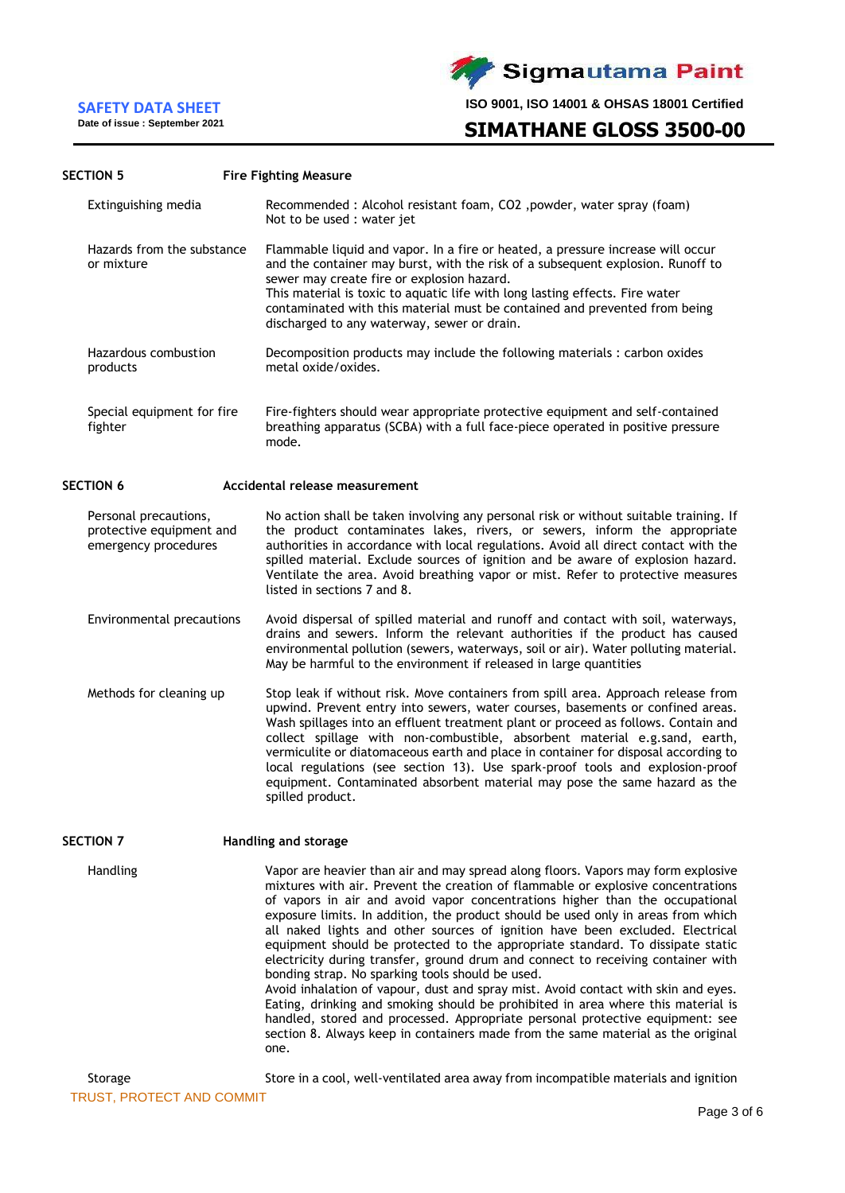**Date of issue : September 2021**



**ISO 9001, ISO 14001 & OHSAS 18001 Certified**

**SIMATHANE GLOSS 3500-00** 

#### **SECTION 5 Fire Fighting Measure**

|                  | Extinguishing media                                                       | Recommended : Alcohol resistant foam, CO2 , powder, water spray (foam)<br>Not to be used : water jet                                                                                                                                                                                                                                                                                                                                                                                                                                                                                                             |
|------------------|---------------------------------------------------------------------------|------------------------------------------------------------------------------------------------------------------------------------------------------------------------------------------------------------------------------------------------------------------------------------------------------------------------------------------------------------------------------------------------------------------------------------------------------------------------------------------------------------------------------------------------------------------------------------------------------------------|
| or mixture       | Hazards from the substance                                                | Flammable liquid and vapor. In a fire or heated, a pressure increase will occur<br>and the container may burst, with the risk of a subsequent explosion. Runoff to<br>sewer may create fire or explosion hazard.<br>This material is toxic to aquatic life with long lasting effects. Fire water<br>contaminated with this material must be contained and prevented from being<br>discharged to any waterway, sewer or drain.                                                                                                                                                                                    |
| products         | Hazardous combustion                                                      | Decomposition products may include the following materials : carbon oxides<br>metal oxide/oxides.                                                                                                                                                                                                                                                                                                                                                                                                                                                                                                                |
| fighter          | Special equipment for fire                                                | Fire-fighters should wear appropriate protective equipment and self-contained<br>breathing apparatus (SCBA) with a full face-piece operated in positive pressure<br>mode.                                                                                                                                                                                                                                                                                                                                                                                                                                        |
| <b>SECTION 6</b> |                                                                           | Accidental release measurement                                                                                                                                                                                                                                                                                                                                                                                                                                                                                                                                                                                   |
|                  | Personal precautions,<br>protective equipment and<br>emergency procedures | No action shall be taken involving any personal risk or without suitable training. If<br>the product contaminates lakes, rivers, or sewers, inform the appropriate<br>authorities in accordance with local regulations. Avoid all direct contact with the<br>spilled material. Exclude sources of ignition and be aware of explosion hazard.<br>Ventilate the area. Avoid breathing vapor or mist. Refer to protective measures<br>listed in sections 7 and 8.                                                                                                                                                   |
|                  | Environmental precautions                                                 | Avoid dispersal of spilled material and runoff and contact with soil, waterways,<br>drains and sewers. Inform the relevant authorities if the product has caused<br>environmental pollution (sewers, waterways, soil or air). Water polluting material.<br>May be harmful to the environment if released in large quantities                                                                                                                                                                                                                                                                                     |
|                  | Methods for cleaning up                                                   | Stop leak if without risk. Move containers from spill area. Approach release from<br>upwind. Prevent entry into sewers, water courses, basements or confined areas.<br>Wash spillages into an effluent treatment plant or proceed as follows. Contain and<br>collect spillage with non-combustible, absorbent material e.g.sand, earth,<br>vermiculite or diatomaceous earth and place in container for disposal according to<br>local regulations (see section 13). Use spark-proof tools and explosion-proof<br>equipment. Contaminated absorbent material may pose the same hazard as the<br>spilled product. |
| SECTION 7        |                                                                           | Handling and storage                                                                                                                                                                                                                                                                                                                                                                                                                                                                                                                                                                                             |
| Handling         |                                                                           | Vapor are heavier than air and may spread along floors. Vapors may form explosive<br>mixtures with air. Prevent the creation of flammable or explosive concentrations<br>of vapors in air and avoid vapor concentrations higher than the occupational<br>exposure limits. In addition, the product should be used only in areas from which                                                                                                                                                                                                                                                                       |

all naked lights and other sources of ignition have been excluded. Electrical equipment should be protected to the appropriate standard. To dissipate static electricity during transfer, ground drum and connect to receiving container with bonding strap. No sparking tools should be used. Avoid inhalation of vapour, dust and spray mist. Avoid contact with skin and eyes. Eating, drinking and smoking should be prohibited in area where this material is

handled, stored and processed. Appropriate personal protective equipment: see section 8. Always keep in containers made from the same material as the original one.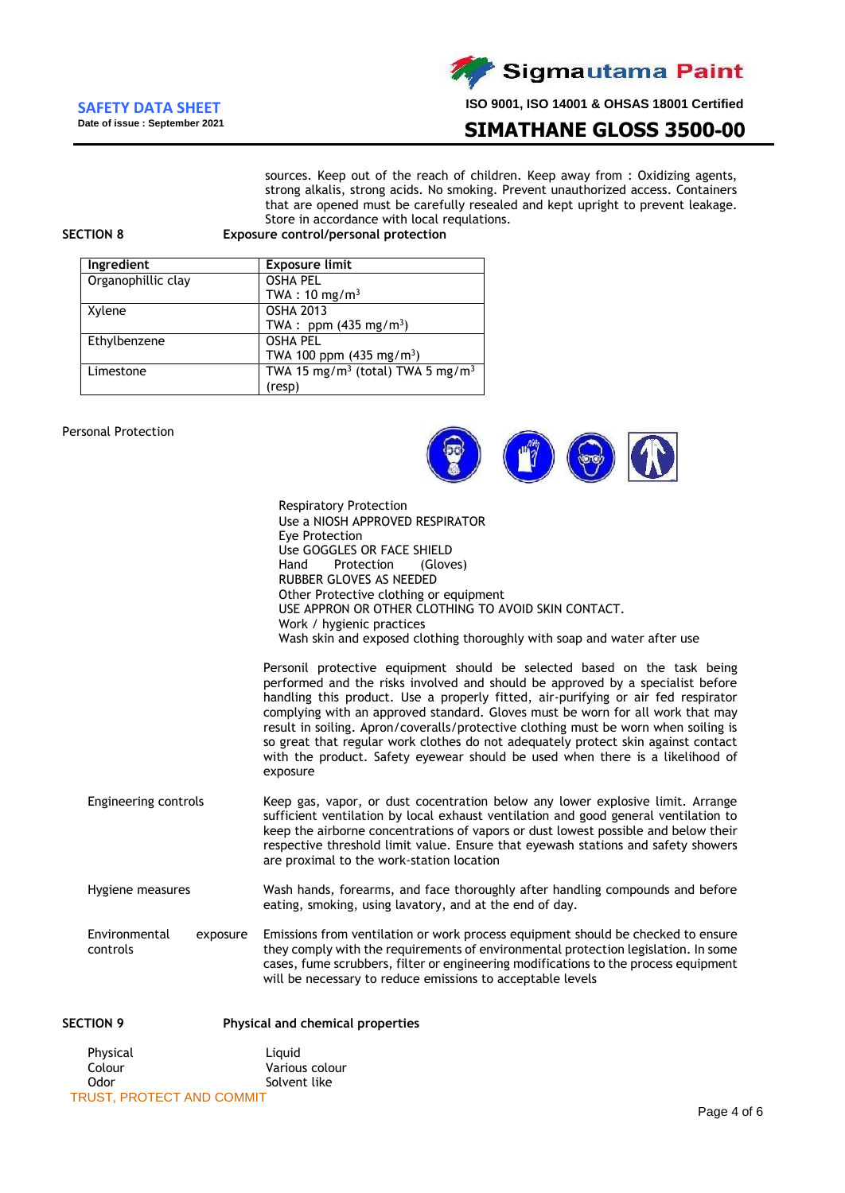

# **SIMATHANE GLOSS 3500-00**

sources. Keep out of the reach of children. Keep away from : Oxidizing agents, strong alkalis, strong acids. No smoking. Prevent unauthorized access. Containers that are opened must be carefully resealed and kept upright to prevent leakage. Store in accordance with local requlations.

**SECTION 8 Exposure control/personal protection**

| Ingredient         | <b>Exposure limit</b>                                    |
|--------------------|----------------------------------------------------------|
| Organophillic clay | <b>OSHA PEL</b>                                          |
|                    | TWA : $10 \text{ mg/m}^3$                                |
| Xylene             | <b>OSHA 2013</b>                                         |
|                    | TWA : ppm $(435 \text{ mg/m}^3)$                         |
| Ethylbenzene       | <b>OSHA PEL</b>                                          |
|                    | TWA 100 ppm $(435 \text{ mg/m}^3)$                       |
| Limestone          | TWA 15 mg/m <sup>3</sup> (total) TWA 5 mg/m <sup>3</sup> |
|                    | (resp)                                                   |

### Personal Protection



| <b>Respiratory Protection</b>                                                                                                                                                                                                                                                                                                                                                                                                                                                                                                                                                                              |
|------------------------------------------------------------------------------------------------------------------------------------------------------------------------------------------------------------------------------------------------------------------------------------------------------------------------------------------------------------------------------------------------------------------------------------------------------------------------------------------------------------------------------------------------------------------------------------------------------------|
| Use a NIOSH APPROVED RESPIRATOR                                                                                                                                                                                                                                                                                                                                                                                                                                                                                                                                                                            |
| Eye Protection                                                                                                                                                                                                                                                                                                                                                                                                                                                                                                                                                                                             |
| Use GOGGLES OR FACE SHIELD                                                                                                                                                                                                                                                                                                                                                                                                                                                                                                                                                                                 |
| Hand<br>Protection (Gloves)                                                                                                                                                                                                                                                                                                                                                                                                                                                                                                                                                                                |
| RUBBER GLOVES AS NEEDED                                                                                                                                                                                                                                                                                                                                                                                                                                                                                                                                                                                    |
| Other Protective clothing or equipment                                                                                                                                                                                                                                                                                                                                                                                                                                                                                                                                                                     |
| USE APPRON OR OTHER CLOTHING TO AVOID SKIN CONTACT.                                                                                                                                                                                                                                                                                                                                                                                                                                                                                                                                                        |
| Work / hygienic practices                                                                                                                                                                                                                                                                                                                                                                                                                                                                                                                                                                                  |
| Wash skin and exposed clothing thoroughly with soap and water after use                                                                                                                                                                                                                                                                                                                                                                                                                                                                                                                                    |
| Personil protective equipment should be selected based on the task being<br>performed and the risks involved and should be approved by a specialist before<br>handling this product. Use a properly fitted, air-purifying or air fed respirator<br>complying with an approved standard. Gloves must be worn for all work that may<br>result in soiling. Apron/coveralls/protective clothing must be worn when soiling is<br>so great that regular work clothes do not adequately protect skin against contact<br>with the product. Safety eyewear should be used when there is a likelihood of<br>exposure |
| Keep gas, vapor, or dust cocentration below any lower explosive limit. Arrange                                                                                                                                                                                                                                                                                                                                                                                                                                                                                                                             |

- Engineering controls sufficient ventilation by local exhaust ventilation and good general ventilation to keep the airborne concentrations of vapors or dust lowest possible and below their respective threshold limit value. Ensure that eyewash stations and safety showers are proximal to the work-station location
- Hygiene measures Wash hands, forearms, and face thoroughly after handling compounds and before eating, smoking, using lavatory, and at the end of day.
- Environmental exposure controls Emissions from ventilation or work process equipment should be checked to ensure they comply with the requirements of environmental protection legislation. In some cases, fume scrubbers, filter or engineering modifications to the process equipment will be necessary to reduce emissions to acceptable levels

| <b>SECTION 9</b>                 | Physical and chemical properties |  |  |
|----------------------------------|----------------------------------|--|--|
| Physical                         | Liauid                           |  |  |
| Colour                           | Various colour                   |  |  |
| Odor                             | Solvent like                     |  |  |
| <b>TRUST, PROTECT AND COMMIT</b> |                                  |  |  |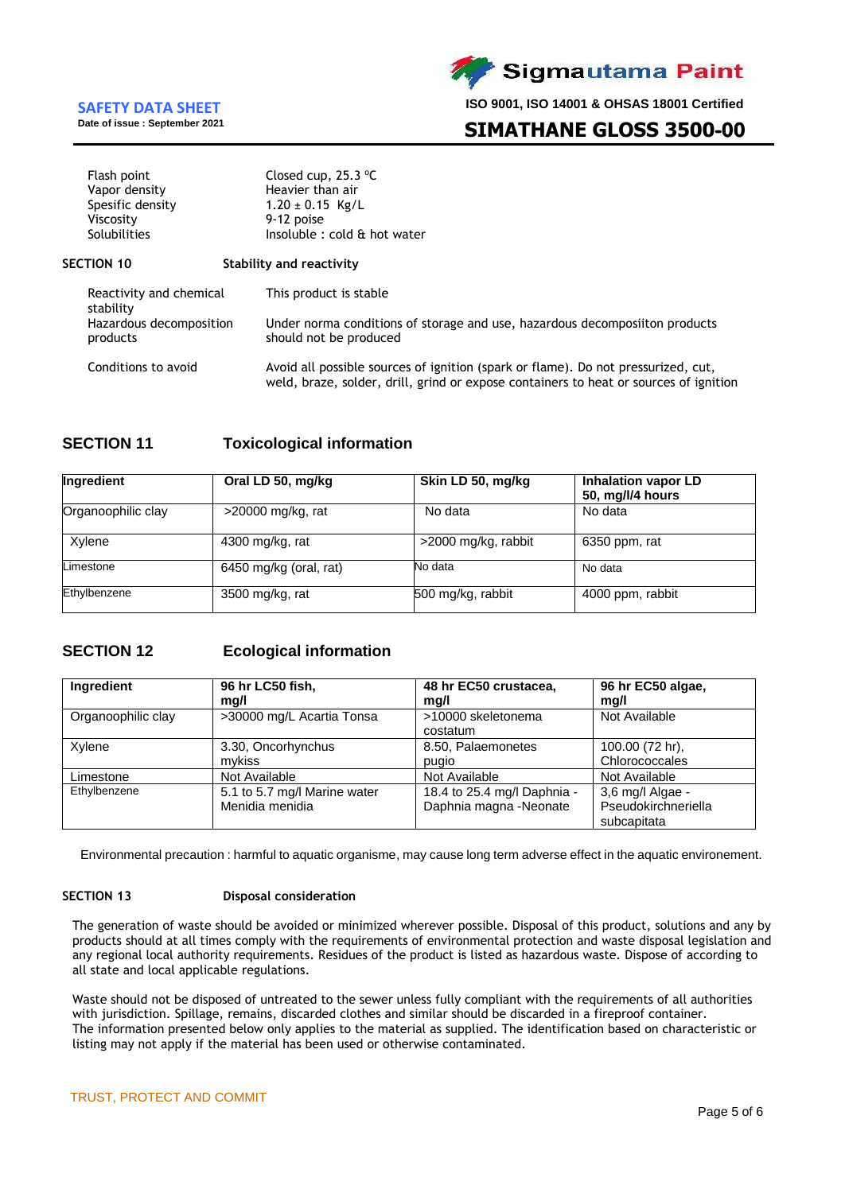

**Sigmautama Paint** 

**ISO 9001, ISO 14001 & OHSAS 18001 Certified**

# **SIMATHANE GLOSS 3500-00**

| Flash point<br>Vapor density<br>Spesific density<br>Viscosity<br>Solubilities | Closed cup, $25.3$ °C<br>Heavier than air<br>$1.20 \pm 0.15$ Kg/L<br>9-12 poise<br>Insoluble : cold & hot water                                                            |
|-------------------------------------------------------------------------------|----------------------------------------------------------------------------------------------------------------------------------------------------------------------------|
| <b>SECTION 10</b>                                                             | Stability and reactivity                                                                                                                                                   |
| Reactivity and chemical<br>stability                                          | This product is stable                                                                                                                                                     |
| Hazardous decomposition<br>products                                           | Under norma conditions of storage and use, hazardous decomposiiton products<br>should not be produced                                                                      |
| Conditions to avoid                                                           | Avoid all possible sources of ignition (spark or flame). Do not pressurized, cut,<br>weld, braze, solder, drill, grind or expose containers to heat or sources of ignition |

# **SECTION 11 Toxicological information**

| Ingredient         | Oral LD 50, mg/kg      | Skin LD 50, mg/kg   | <b>Inhalation vapor LD</b><br>50, mg/l/4 hours |
|--------------------|------------------------|---------------------|------------------------------------------------|
| Organoophilic clay | $>$ 20000 mg/kg, rat   | No data             | No data                                        |
| Xylene             | 4300 mg/kg, rat        | >2000 mg/kg, rabbit | 6350 ppm, rat                                  |
| Limestone          | 6450 mg/kg (oral, rat) | No data             | No data                                        |
| Ethylbenzene       | 3500 mg/kg, rat        | 500 mg/kg, rabbit   | 4000 ppm, rabbit                               |

# **SECTION 12 Ecological information**

| Ingredient         | 96 hr LC50 fish,<br>mg/l                        | 48 hr EC50 crustacea,<br>mq/l                         | 96 hr EC50 algae,<br>mq/l                              |
|--------------------|-------------------------------------------------|-------------------------------------------------------|--------------------------------------------------------|
| Organoophilic clay | >30000 mg/L Acartia Tonsa                       | >10000 skeletonema<br>costatum                        | Not Available                                          |
| Xylene             | 3.30, Oncorhynchus<br>mvkiss                    | 8.50, Palaemonetes<br>pugio                           | 100.00 (72 hr),<br>Chlorococcales                      |
| Limestone          | Not Available                                   | Not Available                                         | Not Available                                          |
| Ethylbenzene       | 5.1 to 5.7 mg/l Marine water<br>Menidia menidia | 18.4 to 25.4 mg/l Daphnia -<br>Daphnia magna -Neonate | 3,6 mg/l Algae -<br>Pseudokirchneriella<br>subcapitata |

Environmental precaution : harmful to aquatic organisme, may cause long term adverse effect in the aquatic environement.

### **SECTION 13 Disposal consideration**

The generation of waste should be avoided or minimized wherever possible. Disposal of this product, solutions and any by products should at all times comply with the requirements of environmental protection and waste disposal legislation and any regional local authority requirements. Residues of the product is listed as hazardous waste. Dispose of according to all state and local applicable regulations.

Waste should not be disposed of untreated to the sewer unless fully compliant with the requirements of all authorities with jurisdiction. Spillage, remains, discarded clothes and similar should be discarded in a fireproof container. The information presented below only applies to the material as supplied. The identification based on characteristic or listing may not apply if the material has been used or otherwise contaminated.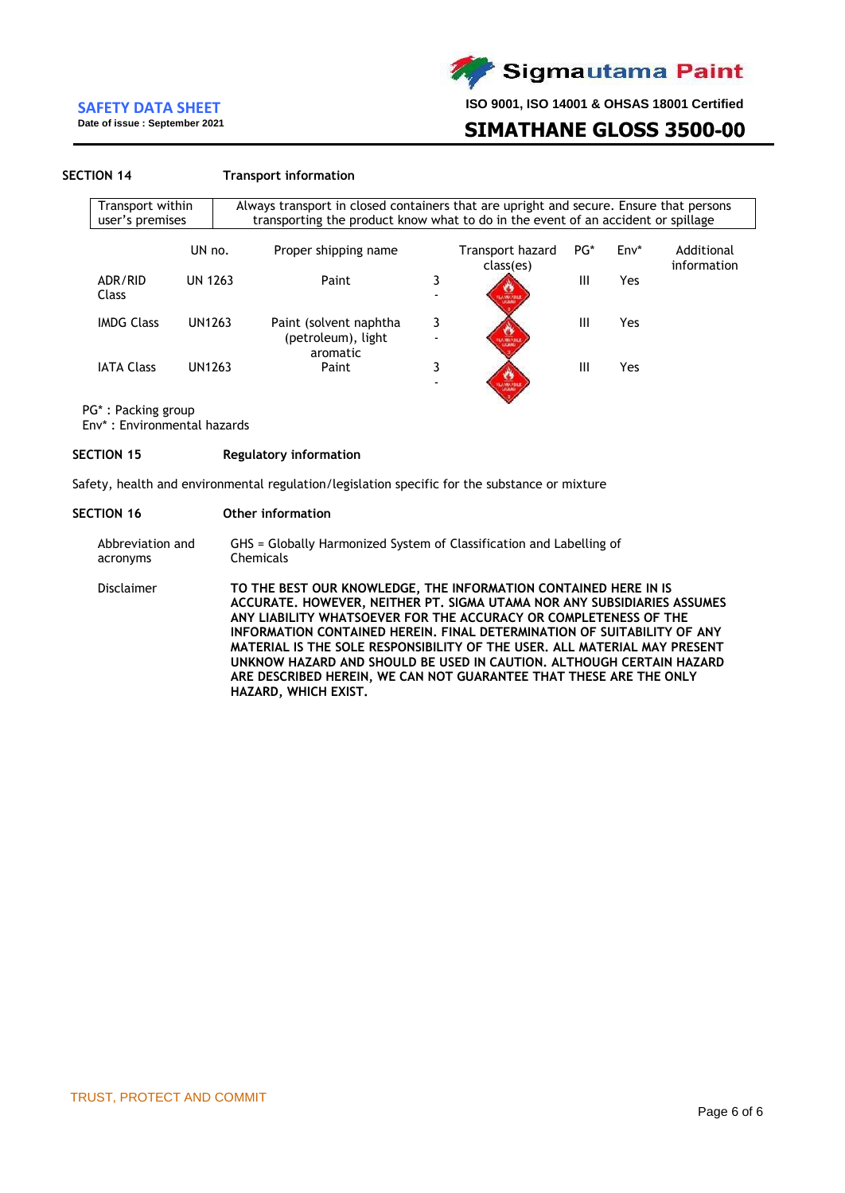**Date of issue : September 2021**

**ISO 9001, ISO 14001 & OHSAS 18001 Certified**

# **SIMATHANE GLOSS 3500-00**

#### **SECTION 14 Transport information**

| Transport within<br>user's premises |                | Always transport in closed containers that are upright and secure. Ensure that persons<br>transporting the product know what to do in the event of an accident or spillage |   |                               |        |      |                           |
|-------------------------------------|----------------|----------------------------------------------------------------------------------------------------------------------------------------------------------------------------|---|-------------------------------|--------|------|---------------------------|
|                                     | UN no.         | Proper shipping name                                                                                                                                                       |   | Transport hazard<br>class(es) | $PG^*$ | Env* | Additional<br>information |
| ADR/RID<br>Class                    | <b>UN 1263</b> | Paint                                                                                                                                                                      | 3 | AMMARINE                      | Ш      | Yes  |                           |
| <b>IMDG Class</b>                   | UN1263         | Paint (solvent naphtha)<br>(petroleum), light                                                                                                                              | 3 | <b>STATION</b>                | Ш      | Yes  |                           |
| <b>IATA Class</b>                   | UN1263         | aromatic<br>Paint                                                                                                                                                          | 3 |                               | Ш      | Yes  |                           |

PG\* : Packing group

Env\* : Environmental hazards

#### **SECTION 15 Regulatory information**

Safety, health and environmental regulation/legislation specific for the substance or mixture

#### **SECTION 16 Other information**

Abbreviation and acronyms GHS = Globally Harmonized System of Classification and Labelling of Chemicals

Disclaimer **TO THE BEST OUR KNOWLEDGE, THE INFORMATION CONTAINED HERE IN IS ACCURATE. HOWEVER, NEITHER PT. SIGMA UTAMA NOR ANY SUBSIDIARIES ASSUMES ANY LIABILITY WHATSOEVER FOR THE ACCURACY OR COMPLETENESS OF THE INFORMATION CONTAINED HEREIN. FINAL DETERMINATION OF SUITABILITY OF ANY MATERIAL IS THE SOLE RESPONSIBILITY OF THE USER. ALL MATERIAL MAY PRESENT UNKNOW HAZARD AND SHOULD BE USED IN CAUTION. ALTHOUGH CERTAIN HAZARD ARE DESCRIBED HEREIN, WE CAN NOT GUARANTEE THAT THESE ARE THE ONLY HAZARD, WHICH EXIST.**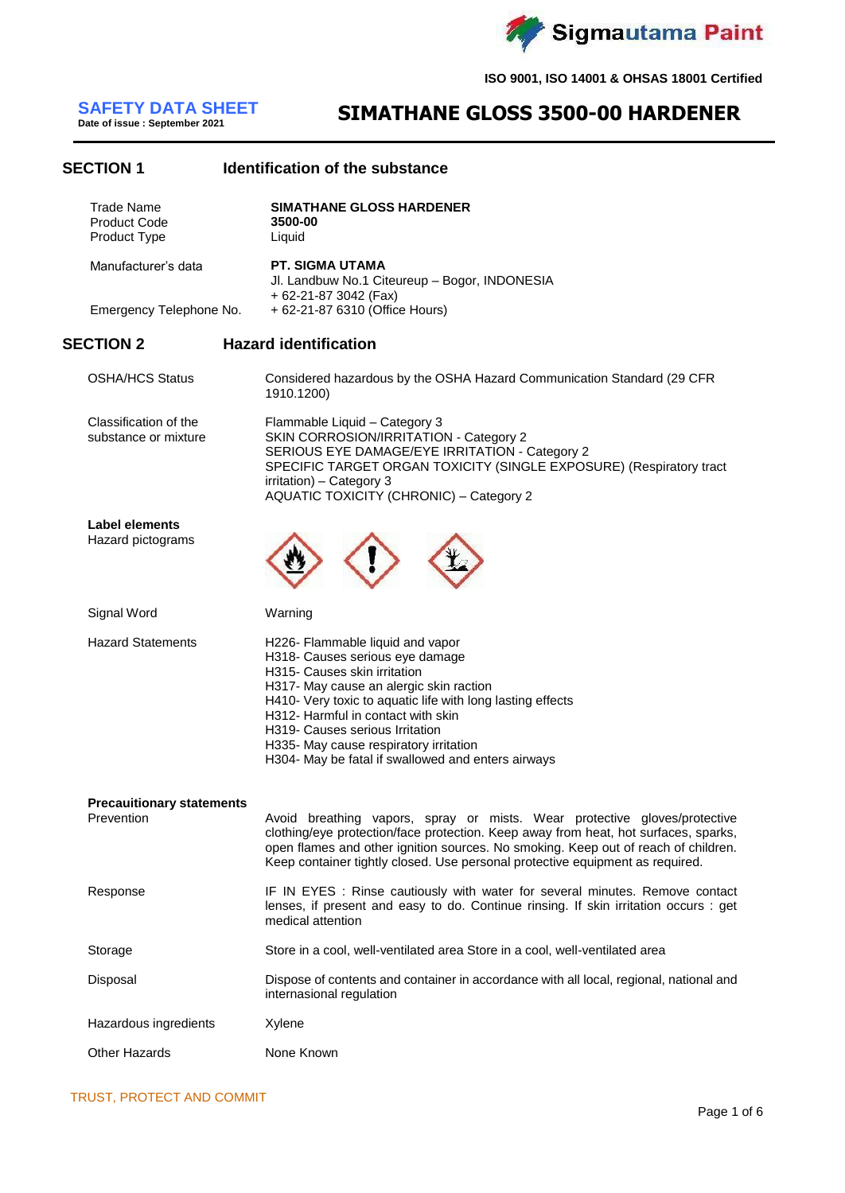

# **SAFETY DATA SHEET**<br>Date of issue : September 2021

**SECTION 1 Identification of the substance**

# **Date of issue : September 2021 SIMATHANE GLOSS 3500-00 HARDENER**

| <b>Trade Name</b><br><b>Product Code</b><br>Product Type | <b>SIMATHANE GLOSS HARDENER</b><br>3500-00<br>Liquid                                                                                                                                                                                                                                                                                                                                  |
|----------------------------------------------------------|---------------------------------------------------------------------------------------------------------------------------------------------------------------------------------------------------------------------------------------------------------------------------------------------------------------------------------------------------------------------------------------|
| Manufacturer's data                                      | <b>PT. SIGMA UTAMA</b><br>Jl. Landbuw No.1 Citeureup - Bogor, INDONESIA                                                                                                                                                                                                                                                                                                               |
| Emergency Telephone No.                                  | + 62-21-87 3042 (Fax)<br>+ 62-21-87 6310 (Office Hours)                                                                                                                                                                                                                                                                                                                               |
| <b>SECTION 2</b>                                         | <b>Hazard identification</b>                                                                                                                                                                                                                                                                                                                                                          |
| <b>OSHA/HCS Status</b>                                   | Considered hazardous by the OSHA Hazard Communication Standard (29 CFR<br>1910.1200)                                                                                                                                                                                                                                                                                                  |
| Classification of the<br>substance or mixture            | Flammable Liquid - Category 3<br>SKIN CORROSION/IRRITATION - Category 2<br>SERIOUS EYE DAMAGE/EYE IRRITATION - Category 2<br>SPECIFIC TARGET ORGAN TOXICITY (SINGLE EXPOSURE) (Respiratory tract<br>irritation) - Category 3<br><b>AQUATIC TOXICITY (CHRONIC) - Category 2</b>                                                                                                        |
| <b>Label elements</b><br>Hazard pictograms               |                                                                                                                                                                                                                                                                                                                                                                                       |
| Signal Word                                              | Warning                                                                                                                                                                                                                                                                                                                                                                               |
| <b>Hazard Statements</b>                                 | H226- Flammable liquid and vapor<br>H318- Causes serious eye damage<br>H315- Causes skin irritation<br>H317- May cause an alergic skin raction<br>H410- Very toxic to aquatic life with long lasting effects<br>H312- Harmful in contact with skin<br>H319- Causes serious Irritation<br>H335- May cause respiratory irritation<br>H304- May be fatal if swallowed and enters airways |
| <b>Precaultionary statements</b><br>Prevention           | Avoid breathing vapors, spray or mists. Wear protective gloves/protective<br>clothing/eye protection/face protection. Keep away from heat, hot surfaces, sparks,<br>open flames and other ignition sources. No smoking. Keep out of reach of children.<br>Keep container tightly closed. Use personal protective equipment as required.                                               |
| Response                                                 | IF IN EYES : Rinse cautiously with water for several minutes. Remove contact<br>lenses, if present and easy to do. Continue rinsing. If skin irritation occurs : get<br>medical attention                                                                                                                                                                                             |
| Storage                                                  | Store in a cool, well-ventilated area Store in a cool, well-ventilated area                                                                                                                                                                                                                                                                                                           |
| Disposal                                                 | Dispose of contents and container in accordance with all local, regional, national and<br>internasional regulation                                                                                                                                                                                                                                                                    |
| Hazardous ingredients                                    | Xylene                                                                                                                                                                                                                                                                                                                                                                                |
| Other Hazards                                            | None Known                                                                                                                                                                                                                                                                                                                                                                            |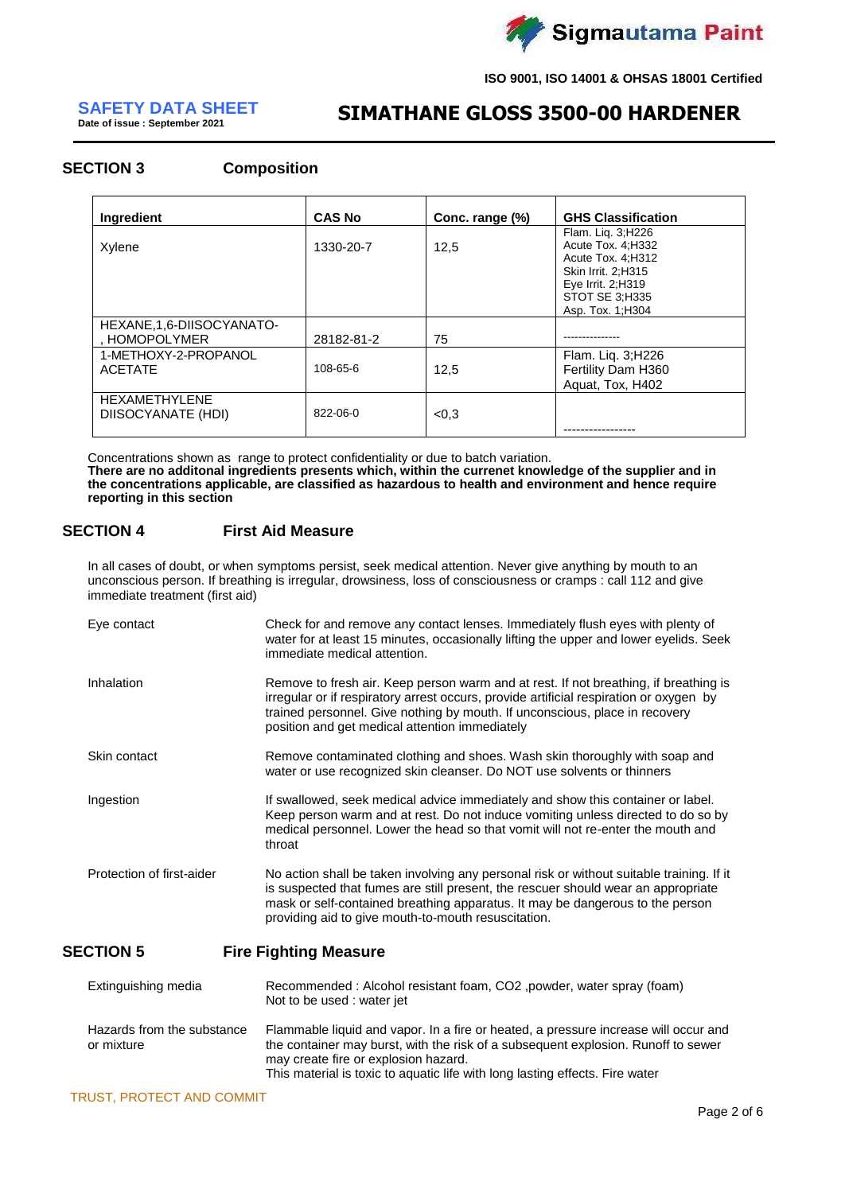

# **SAFETY DATA SHEET**<br>Date of issue : September 2021

# **Date of issue : September 2021 SIMATHANE GLOSS 3500-00 HARDENER**

# **SECTION 3 Composition**

| Ingredient                                  | <b>CAS No</b> | Conc. range (%) | <b>GHS Classification</b>                                                                                                                         |
|---------------------------------------------|---------------|-----------------|---------------------------------------------------------------------------------------------------------------------------------------------------|
| Xylene                                      | 1330-20-7     | 12,5            | Flam. Lig. 3; H226<br>Acute Tox. 4; H332<br>Acute Tox. 4: H312<br>Skin Irrit. 2:H315<br>Eye Irrit. 2; H319<br>STOT SE 3;H335<br>Asp. Tox. 1; H304 |
| HEXANE, 1, 6-DIISOCYANATO-<br>, HOMOPOLYMER | 28182-81-2    | 75              |                                                                                                                                                   |
| 1-METHOXY-2-PROPANOL<br><b>ACETATE</b>      | 108-65-6      | 12,5            | Flam. Liq. 3;H226<br>Fertility Dam H360<br>Aguat, Tox, H402                                                                                       |
| <b>HEXAMETHYLENE</b><br>DIISOCYANATE (HDI)  | 822-06-0      | < 0.3           |                                                                                                                                                   |

Concentrations shown as range to protect confidentiality or due to batch variation. **There are no additonal ingredients presents which, within the currenet knowledge of the supplier and in the concentrations applicable, are classified as hazardous to health and environment and hence require reporting in this section**

# **SECTION 4 First Aid Measure**

In all cases of doubt, or when symptoms persist, seek medical attention. Never give anything by mouth to an unconscious person. If breathing is irregular, drowsiness, loss of consciousness or cramps : call 112 and give immediate treatment (first aid)

| Eye contact               | Check for and remove any contact lenses. Immediately flush eyes with plenty of<br>water for at least 15 minutes, occasionally lifting the upper and lower eyelids. Seek<br>immediate medical attention.                                                                                                               |
|---------------------------|-----------------------------------------------------------------------------------------------------------------------------------------------------------------------------------------------------------------------------------------------------------------------------------------------------------------------|
| Inhalation                | Remove to fresh air. Keep person warm and at rest. If not breathing, if breathing is<br>irregular or if respiratory arrest occurs, provide artificial respiration or oxygen by<br>trained personnel. Give nothing by mouth. If unconscious, place in recovery<br>position and get medical attention immediately       |
| Skin contact              | Remove contaminated clothing and shoes. Wash skin thoroughly with soap and<br>water or use recognized skin cleanser. Do NOT use solvents or thinners                                                                                                                                                                  |
| Ingestion                 | If swallowed, seek medical advice immediately and show this container or label.<br>Keep person warm and at rest. Do not induce vomiting unless directed to do so by<br>medical personnel. Lower the head so that vomit will not re-enter the mouth and<br>throat                                                      |
| Protection of first-aider | No action shall be taken involving any personal risk or without suitable training. If it<br>is suspected that fumes are still present, the rescuer should wear an appropriate<br>mask or self-contained breathing apparatus. It may be dangerous to the person<br>providing aid to give mouth-to-mouth resuscitation. |
| <b>SECTION 5</b>          | <b>Fire Fighting Measure</b>                                                                                                                                                                                                                                                                                          |

| Extinguishing media                      | Recommended: Alcohol resistant foam, CO2, powder, water spray (foam)<br>Not to be used: water jet                                                                                                                                                                                                |
|------------------------------------------|--------------------------------------------------------------------------------------------------------------------------------------------------------------------------------------------------------------------------------------------------------------------------------------------------|
| Hazards from the substance<br>or mixture | Flammable liquid and vapor. In a fire or heated, a pressure increase will occur and<br>the container may burst, with the risk of a subsequent explosion. Runoff to sewer<br>may create fire or explosion hazard.<br>This material is toxic to aquatic life with long lasting effects. Fire water |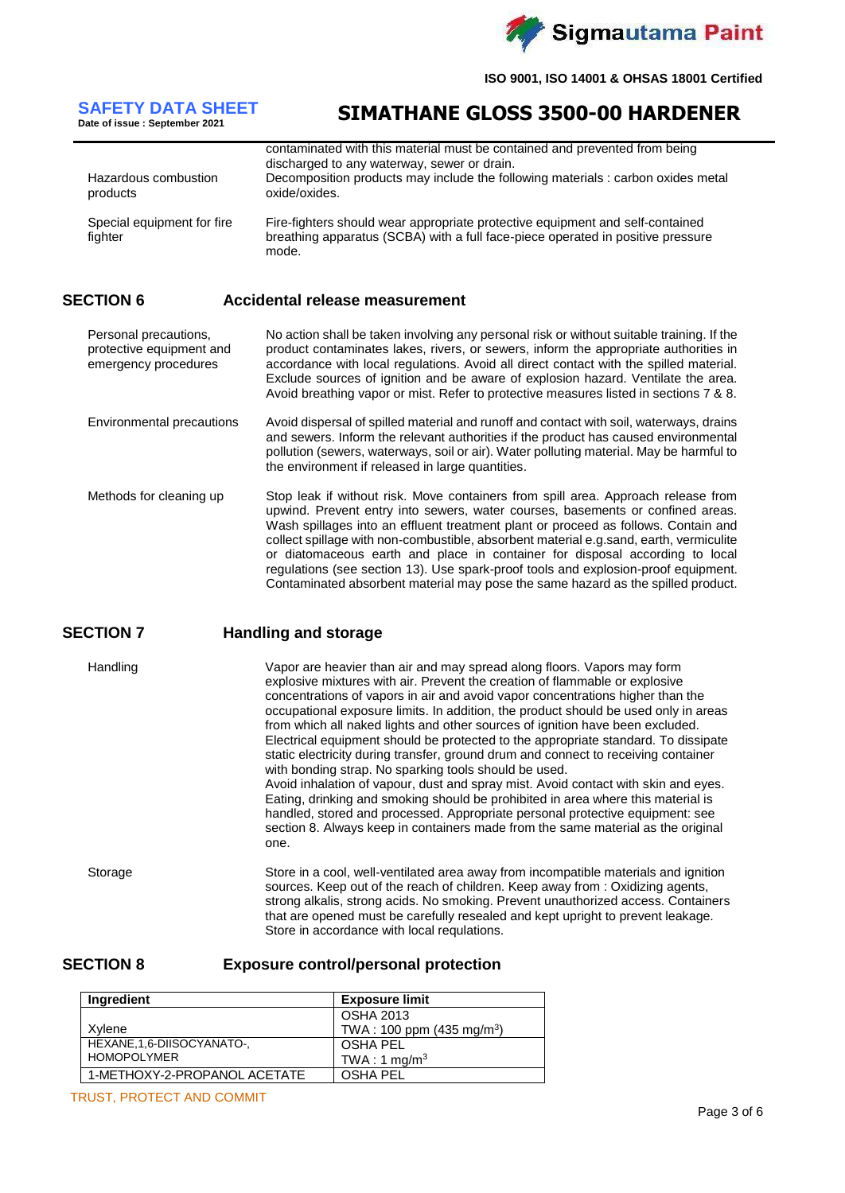Sigmautama Paint

**ISO 9001, ISO 14001 & OHSAS 18001 Certified**

# **SAFETY DATA SHEET**<br>Date of issue : September 2021

# **Date of issue : September 2021 SIMATHANE GLOSS 3500-00 HARDENER**

| Hazardous combustion<br>products      | contaminated with this material must be contained and prevented from being<br>discharged to any waterway, sewer or drain.<br>Decomposition products may include the following materials : carbon oxides metal<br>oxide/oxides. |
|---------------------------------------|--------------------------------------------------------------------------------------------------------------------------------------------------------------------------------------------------------------------------------|
| Special equipment for fire<br>fighter | Fire-fighters should wear appropriate protective equipment and self-contained<br>breathing apparatus (SCBA) with a full face-piece operated in positive pressure<br>mode.                                                      |

### **SECTION 6 Accidental release measurement**

Personal precautions, protective equipment and emergency procedures No action shall be taken involving any personal risk or without suitable training. If the product contaminates lakes, rivers, or sewers, inform the appropriate authorities in accordance with local regulations. Avoid all direct contact with the spilled material. Exclude sources of ignition and be aware of explosion hazard. Ventilate the area. Avoid breathing vapor or mist. Refer to protective measures listed in sections 7 & 8.

- Environmental precautions Avoid dispersal of spilled material and runoff and contact with soil, waterways, drains and sewers. Inform the relevant authorities if the product has caused environmental pollution (sewers, waterways, soil or air). Water polluting material. May be harmful to the environment if released in large quantities.
- Methods for cleaning up Stop leak if without risk. Move containers from spill area. Approach release from upwind. Prevent entry into sewers, water courses, basements or confined areas. Wash spillages into an effluent treatment plant or proceed as follows. Contain and collect spillage with non-combustible, absorbent material e.g.sand, earth, vermiculite or diatomaceous earth and place in container for disposal according to local regulations (see section 13). Use spark-proof tools and explosion-proof equipment. Contaminated absorbent material may pose the same hazard as the spilled product.

# **SECTION 7 Handling and storage**

Handling Vapor are heavier than air and may spread along floors. Vapors may form explosive mixtures with air. Prevent the creation of flammable or explosive concentrations of vapors in air and avoid vapor concentrations higher than the occupational exposure limits. In addition, the product should be used only in areas from which all naked lights and other sources of ignition have been excluded. Electrical equipment should be protected to the appropriate standard. To dissipate static electricity during transfer, ground drum and connect to receiving container with bonding strap. No sparking tools should be used. Avoid inhalation of vapour, dust and spray mist. Avoid contact with skin and eyes. Eating, drinking and smoking should be prohibited in area where this material is handled, stored and processed. Appropriate personal protective equipment: see section 8. Always keep in containers made from the same material as the original one. Storage Store in a cool, well-ventilated area away from incompatible materials and ignition sources. Keep out of the reach of children. Keep away from : Oxidizing agents, strong alkalis, strong acids. No smoking. Prevent unauthorized access. Containers that are opened must be carefully resealed and kept upright to prevent leakage.

Store in accordance with local requlations.

### **SECTION 8 Exposure control/personal protection**

| <b>Ingredient</b>            | <b>Exposure limit</b>                 |
|------------------------------|---------------------------------------|
|                              | <b>OSHA 2013</b>                      |
| Xvlene                       | TWA: 100 ppm (435 mg/m <sup>3</sup> ) |
| HEXANE, 1, 6-DIISOCYANATO-,  | OSHA PEL                              |
| <b>HOMOPOLYMER</b>           | TWA: 1 mg/m <sup>3</sup>              |
| 1-METHOXY-2-PROPANOL ACETATE | OSHA PEL                              |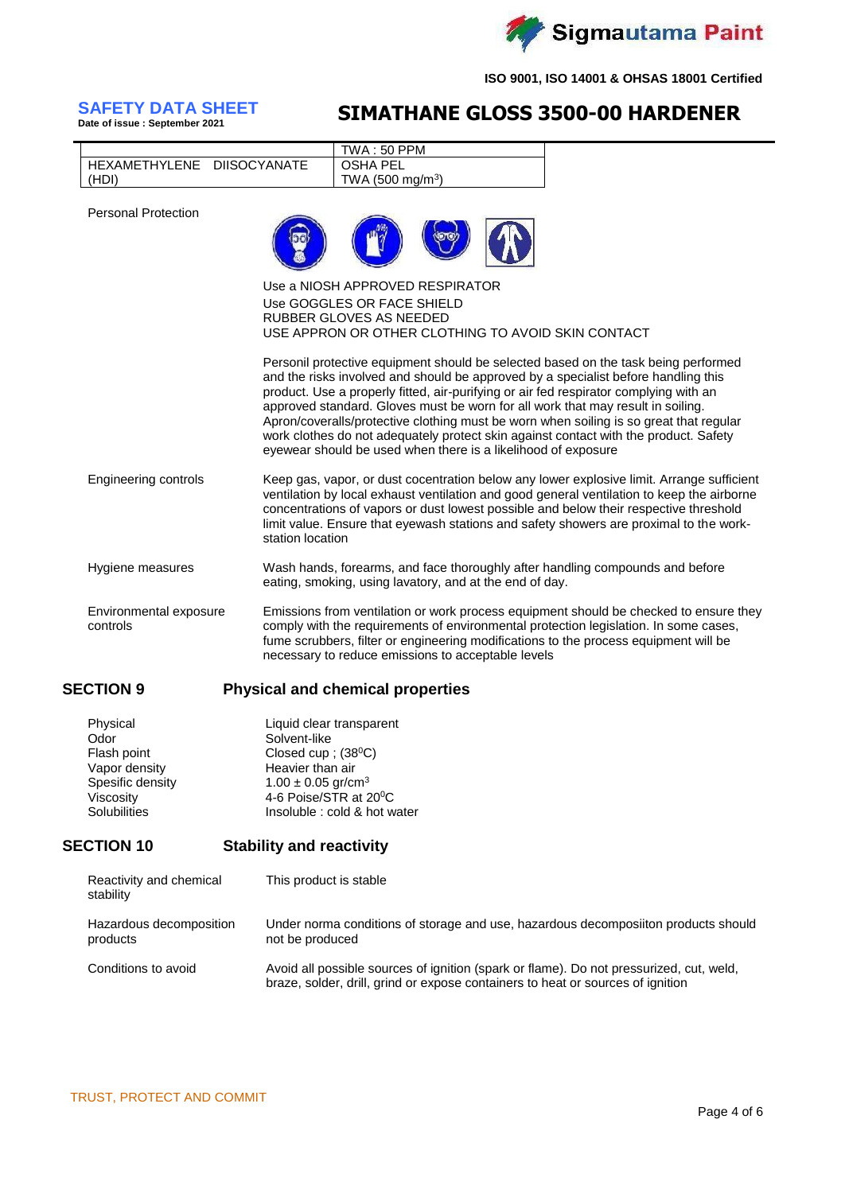

# **SAFETY DATA SHEET**<br>Date of issue : September 2021

# **Date of issue : September 2021 SIMATHANE GLOSS 3500-00 HARDENER**

|                            | TWA : 50 PPM                    |                                                    |  |
|----------------------------|---------------------------------|----------------------------------------------------|--|
| HEXAMETHYLENE DIISOCYANATE | <b>OSHA PEL</b>                 |                                                    |  |
| (HDI)                      | TWA (500 mg/m <sup>3</sup> )    |                                                    |  |
| <b>Personal Protection</b> |                                 |                                                    |  |
|                            | Use a NIOSH APPROVED RESPIRATOR |                                                    |  |
|                            | Use GOGGLES OR FACE SHIELD      |                                                    |  |
|                            | RUBBER GLOVES AS NEEDED         | USE APPRON OR OTHER CLOTHING TO AVOID SKIN CONTACT |  |
|                            |                                 |                                                    |  |

Personil protective equipment should be selected based on the task being performed and the risks involved and should be approved by a specialist before handling this product. Use a properly fitted, air-purifying or air fed respirator complying with an approved standard. Gloves must be worn for all work that may result in soiling. Apron/coveralls/protective clothing must be worn when soiling is so great that regular work clothes do not adequately protect skin against contact with the product. Safety eyewear should be used when there is a likelihood of exposure

Engineering controls Keep gas, vapor, or dust cocentration below any lower explosive limit. Arrange sufficient ventilation by local exhaust ventilation and good general ventilation to keep the airborne concentrations of vapors or dust lowest possible and below their respective threshold limit value. Ensure that eyewash stations and safety showers are proximal to the workstation location

Hygiene measures Wash hands, forearms, and face thoroughly after handling compounds and before eating, smoking, using lavatory, and at the end of day.

Environmental exposure controls Emissions from ventilation or work process equipment should be checked to ensure they comply with the requirements of environmental protection legislation. In some cases, fume scrubbers, filter or engineering modifications to the process equipment will be necessary to reduce emissions to acceptable levels

# **SECTION 9 Physical and chemical properties**

| Physical            | Liquid clear transparent           |
|---------------------|------------------------------------|
| Odor                | Solvent-like                       |
| Flash point         | Closed cup; $(38^{\circ}C)$        |
| Vapor density       | Heavier than air                   |
| Spesific density    | $1.00 \pm 0.05$ gr/cm <sup>3</sup> |
| Viscosity           | 4-6 Poise/STR at 20°C              |
| <b>Solubilities</b> | Insoluble : cold & hot water       |
|                     |                                    |

# **SECTION 10 Stability and reactivity**

| Reactivity and chemical<br>stability | This product is stable                                                                                                                                                     |
|--------------------------------------|----------------------------------------------------------------------------------------------------------------------------------------------------------------------------|
| Hazardous decomposition<br>products  | Under norma conditions of storage and use, hazardous decomposition products should<br>not be produced                                                                      |
| Conditions to avoid                  | Avoid all possible sources of ignition (spark or flame). Do not pressurized, cut, weld,<br>braze, solder, drill, grind or expose containers to heat or sources of ignition |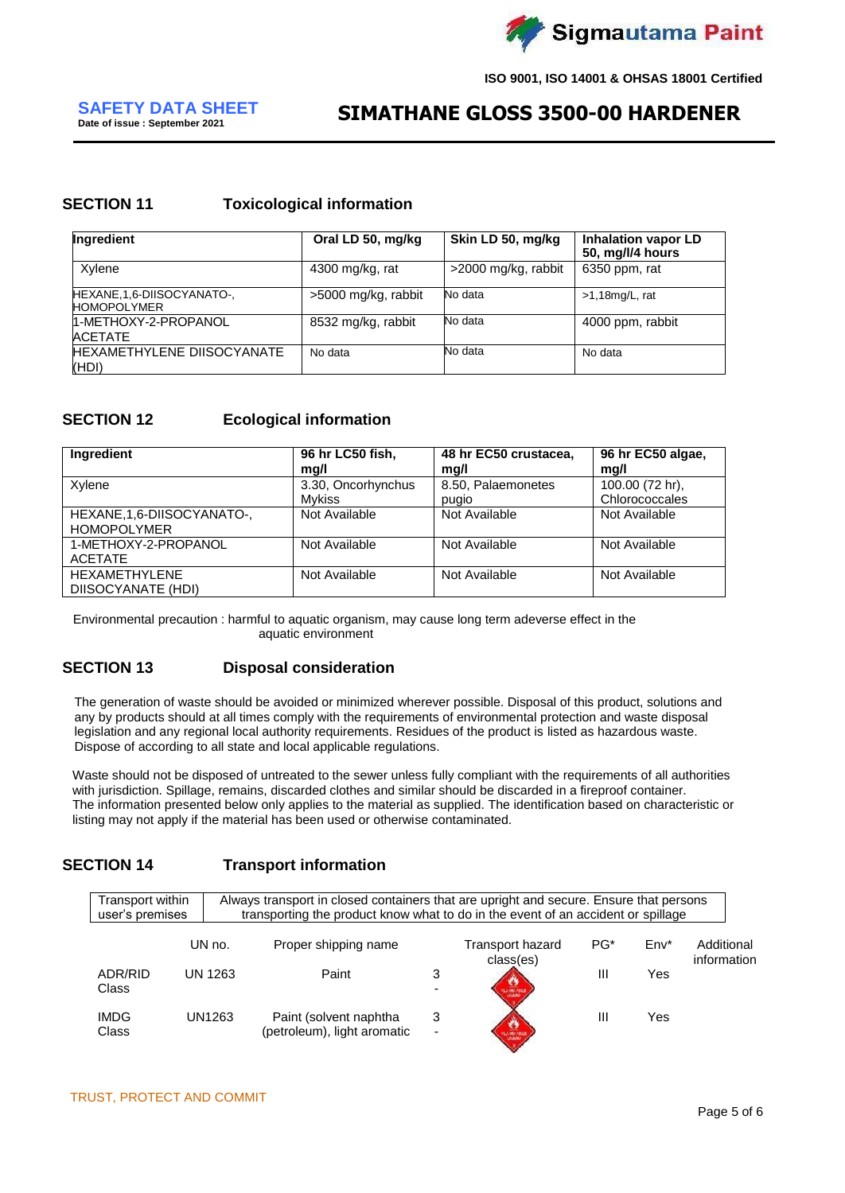

# **Date of issue : September 2021 SIMATHANE GLOSS 3500-00 HARDENER**

# **SECTION 11 Toxicological information**

| Ingredient                                        | Oral LD 50, mg/kg   | Skin LD 50, mg/kg   | <b>Inhalation vapor LD</b><br>50, mg/l/4 hours |
|---------------------------------------------------|---------------------|---------------------|------------------------------------------------|
| Xylene                                            | 4300 mg/kg, rat     | >2000 mg/kg, rabbit | 6350 ppm, rat                                  |
| HEXANE, 1, 6-DIISOCYANATO-,<br><b>HOMOPOLYMER</b> | >5000 mg/kg, rabbit | No data             | $>1,18$ mg/L, rat                              |
| 1-METHOXY-2-PROPANOL<br><b>ACETATE</b>            | 8532 mg/kg, rabbit  | No data             | 4000 ppm, rabbit                               |
| <b>HEXAMETHYLENE DIISOCYANATE</b><br>(HDI)        | No data             | No data             | No data                                        |

# **SECTION 12 Ecological information**

| <b>Ingredient</b>                                 | 96 hr LC50 fish,<br>mg/l            | 48 hr EC50 crustacea,<br>mg/l | 96 hr EC50 algae,<br>mq/l         |
|---------------------------------------------------|-------------------------------------|-------------------------------|-----------------------------------|
| Xylene                                            | 3.30, Oncorhynchus<br><b>Mykiss</b> | 8.50, Palaemonetes<br>pugio   | 100.00 (72 hr),<br>Chlorococcales |
| HEXANE, 1, 6-DIISOCYANATO-,<br><b>HOMOPOLYMER</b> | Not Available                       | Not Available                 | Not Available                     |
| 1-METHOXY-2-PROPANOL<br><b>ACETATE</b>            | Not Available                       | Not Available                 | Not Available                     |
| HEXAMETHYLENE<br>DIISOCYANATE (HDI)               | Not Available                       | Not Available                 | Not Available                     |

Environmental precaution : harmful to aquatic organism, may cause long term adeverse effect in the aquatic environment

# **SECTION 13 Disposal consideration**

The generation of waste should be avoided or minimized wherever possible. Disposal of this product, solutions and any by products should at all times comply with the requirements of environmental protection and waste disposal legislation and any regional local authority requirements. Residues of the product is listed as hazardous waste. Dispose of according to all state and local applicable regulations.

Waste should not be disposed of untreated to the sewer unless fully compliant with the requirements of all authorities with jurisdiction. Spillage, remains, discarded clothes and similar should be discarded in a fireproof container. The information presented below only applies to the material as supplied. The identification based on characteristic or listing may not apply if the material has been used or otherwise contaminated.

# **SECTION 14 Transport information**

| Transport within<br>user's premises |         | Always transport in closed containers that are upright and secure. Ensure that persons<br>transporting the product know what to do in the event of an accident or spillage |   |                  |       |        |             |
|-------------------------------------|---------|----------------------------------------------------------------------------------------------------------------------------------------------------------------------------|---|------------------|-------|--------|-------------|
|                                     | UN no.  | Proper shipping name                                                                                                                                                       |   | Transport hazard | $PG*$ | $Env*$ | Additional  |
| ADR/RID<br>Class                    | UN 1263 | Paint                                                                                                                                                                      | 3 | class(es)        | Ш     | Yes    | information |
| <b>IMDG</b><br>Class                | UN1263  | Paint (solvent naphtha<br>(petroleum), light aromatic                                                                                                                      | 3 |                  | Ш     | Yes    |             |